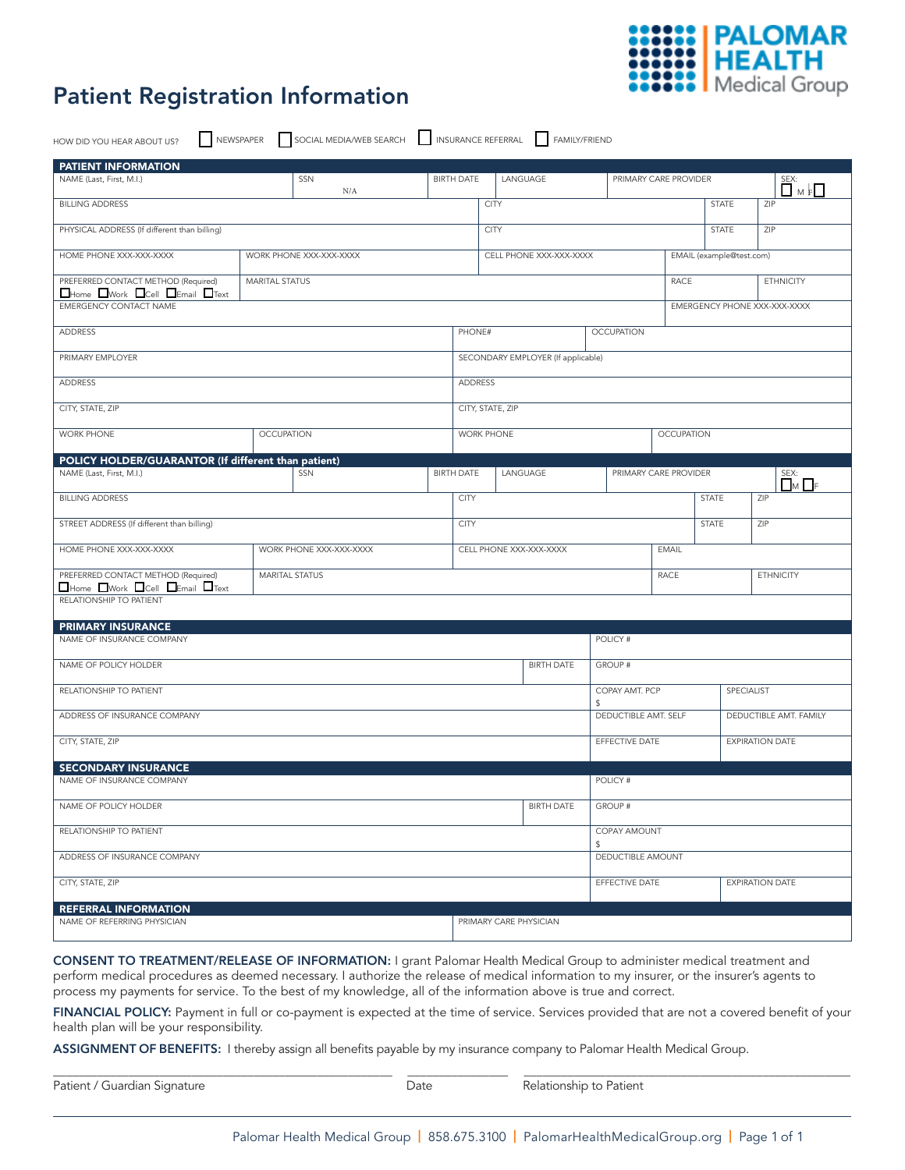

## **Patient Registration Information**

| HOW DID YOU HEAR ABOUT US?                                                                                                   |                       | NEWSPAPER SOCIAL MEDIA/WEB SEARCH INSURANCE REFERRAL FAMILY/FRIEND |        |                                                     |                         |                                    |                                                |                       |                              |                           |
|------------------------------------------------------------------------------------------------------------------------------|-----------------------|--------------------------------------------------------------------|--------|-----------------------------------------------------|-------------------------|------------------------------------|------------------------------------------------|-----------------------|------------------------------|---------------------------|
| <b>PATIENT INFORMATION</b><br>NAME (Last, First, M.I.)                                                                       |                       | SSN<br>N/A                                                         |        | <b>BIRTH DATE</b>                                   | LANGUAGE                |                                    |                                                | PRIMARY CARE PROVIDER |                              | SEX:<br>$\Box$ m F $\Box$ |
| <b>BILLING ADDRESS</b>                                                                                                       |                       |                                                                    |        |                                                     | <b>CITY</b>             |                                    |                                                |                       | <b>STATE</b>                 | ZIP                       |
| PHYSICAL ADDRESS (If different than billing)                                                                                 |                       |                                                                    |        | <b>CITY</b>                                         |                         |                                    |                                                | <b>STATE</b>          | ZIP                          |                           |
| HOME PHONE XXX-XXX-XXXX<br>WORK PHONE XXX-XXX-XXXX                                                                           |                       |                                                                    |        | EMAIL (example@test.com)<br>CELL PHONE XXX-XXX-XXXX |                         |                                    |                                                |                       |                              |                           |
| PREFERRED CONTACT METHOD (Required)<br><b>MARITAL STATUS</b><br>$\Box$ Home $\Box$ Work $\Box$ Cell $\Box$ Email $\Box$ Text |                       |                                                                    |        |                                                     |                         |                                    | RACE                                           |                       | <b>ETHNICITY</b>             |                           |
| <b>EMERGENCY CONTACT NAME</b>                                                                                                |                       |                                                                    |        |                                                     |                         |                                    |                                                |                       | EMERGENCY PHONE XXX-XXX-XXXX |                           |
| <b>ADDRESS</b>                                                                                                               |                       |                                                                    | PHONE# | <b>OCCUPATION</b>                                   |                         |                                    |                                                |                       |                              |                           |
| PRIMARY EMPLOYER                                                                                                             |                       |                                                                    |        |                                                     |                         | SECONDARY EMPLOYER (If applicable) |                                                |                       |                              |                           |
| <b>ADDRESS</b>                                                                                                               |                       |                                                                    |        | <b>ADDRESS</b>                                      |                         |                                    |                                                |                       |                              |                           |
| CITY, STATE, ZIP                                                                                                             |                       |                                                                    |        | CITY, STATE, ZIP                                    |                         |                                    |                                                |                       |                              |                           |
| <b>WORK PHONE</b>                                                                                                            | <b>OCCUPATION</b>     |                                                                    |        | <b>WORK PHONE</b>                                   |                         | <b>OCCUPATION</b>                  |                                                |                       |                              |                           |
| POLICY HOLDER/GUARANTOR (If different than patient)                                                                          |                       |                                                                    |        |                                                     |                         |                                    |                                                |                       |                              |                           |
| NAME (Last, First, M.I.)                                                                                                     |                       | SSN                                                                |        | <b>BIRTH DATE</b>                                   | LANGUAGE                |                                    |                                                | PRIMARY CARE PROVIDER |                              | SEX:<br>$M$ $F$           |
| <b>BILLING ADDRESS</b>                                                                                                       |                       |                                                                    |        | <b>CITY</b>                                         |                         |                                    | <b>STATE</b><br>ZIP                            |                       |                              |                           |
| STREET ADDRESS (If different than billing)                                                                                   |                       |                                                                    |        | <b>CITY</b>                                         | <b>STATE</b><br>ZIP     |                                    |                                                |                       |                              |                           |
| HOME PHONE XXX-XXX-XXXX                                                                                                      |                       | WORK PHONE XXX-XXX-XXXX                                            |        |                                                     |                         | CELL PHONE XXX-XXX-XXXX            |                                                | <b>EMAIL</b>          |                              |                           |
| PREFERRED CONTACT METHOD (Required)<br>Home Work Cell LEmail Text<br><b>RELATIONSHIP TO PATIENT</b>                          |                       | MARITAL STATUS                                                     |        |                                                     |                         |                                    | <b>RACE</b>                                    |                       | <b>ETHNICITY</b>             |                           |
|                                                                                                                              |                       |                                                                    |        |                                                     |                         |                                    |                                                |                       |                              |                           |
| <b>PRIMARY INSURANCE</b><br>NAME OF INSURANCE COMPANY                                                                        |                       |                                                                    |        |                                                     |                         |                                    | POLICY#                                        |                       |                              |                           |
|                                                                                                                              |                       |                                                                    |        |                                                     |                         | <b>BIRTH DATE</b>                  | <b>GROUP#</b>                                  |                       |                              |                           |
|                                                                                                                              | NAME OF POLICY HOLDER |                                                                    |        |                                                     |                         |                                    |                                                |                       |                              |                           |
| RELATIONSHIP TO PATIENT                                                                                                      |                       |                                                                    |        |                                                     |                         | COPAY AMT. PCP<br>SPECIALIST<br>\$ |                                                |                       |                              |                           |
| ADDRESS OF INSURANCE COMPANY                                                                                                 |                       |                                                                    |        |                                                     |                         |                                    | DEDUCTIBLE AMT. SELF<br>DEDUCTIBLE AMT. FAMILY |                       |                              |                           |
| CITY, STATE, ZIP                                                                                                             |                       |                                                                    |        |                                                     |                         | EFFECTIVE DATE                     |                                                |                       | <b>EXPIRATION DATE</b>       |                           |
| <b>SECONDARY INSURANCE</b><br>NAME OF INSURANCE COMPANY                                                                      |                       |                                                                    |        |                                                     |                         |                                    | POLICY#                                        |                       |                              |                           |
| NAME OF POLICY HOLDER                                                                                                        |                       |                                                                    |        |                                                     |                         | <b>BIRTH DATE</b>                  | <b>GROUP#</b>                                  |                       |                              |                           |
| RELATIONSHIP TO PATIENT                                                                                                      |                       |                                                                    |        |                                                     |                         | COPAY AMOUNT                       |                                                |                       |                              |                           |
| ADDRESS OF INSURANCE COMPANY                                                                                                 |                       |                                                                    |        |                                                     | \$<br>DEDUCTIBLE AMOUNT |                                    |                                                |                       |                              |                           |
| CITY, STATE, ZIP                                                                                                             |                       |                                                                    |        | <b>EXPIRATION DATE</b><br>EFFECTIVE DATE            |                         |                                    |                                                |                       |                              |                           |
| <b>REFERRAL INFORMATION</b><br>NAME OF REFERRING PHYSICIAN<br>PRIMARY CARE PHYSICIAN                                         |                       |                                                                    |        |                                                     |                         |                                    |                                                |                       |                              |                           |
|                                                                                                                              |                       |                                                                    |        |                                                     |                         |                                    |                                                |                       |                              |                           |

**CONSENT TO TREATMENT/RELEASE OF INFORMATION:** I grant Palomar Health Medical Group to administer medical treatment and perform medical procedures as deemed necessary. I authorize the release of medical information to my insurer, or the insurer's agents to process my payments for service. To the best of my knowledge, all of the information above is true and correct.

FINANCIAL POLICY: Payment in full or co-payment is expected at the time of service. Services provided that are not a covered benefit of your health plan will be your responsibility.

**ASSIGNMENT OF BENEFITS:** I thereby assign all benefits payable by my insurance company to Palomar Health Medical Group.

Patient / Guardian Signature **Date Date Constant Constant Instant Patient Constant Instant Patient** 

\_\_\_\_\_\_\_\_\_\_\_\_\_\_\_\_\_\_\_\_\_\_\_\_\_\_\_\_\_\_\_\_\_\_\_\_\_\_\_\_\_\_\_\_\_\_\_\_\_\_\_\_\_\_ \_\_\_\_\_\_\_\_\_\_\_\_\_\_\_\_ \_\_\_\_\_\_\_\_\_\_\_\_\_\_\_\_\_\_\_\_\_\_\_\_\_\_\_\_\_\_\_\_\_\_\_\_\_\_\_\_\_\_\_\_\_\_\_\_\_\_\_\_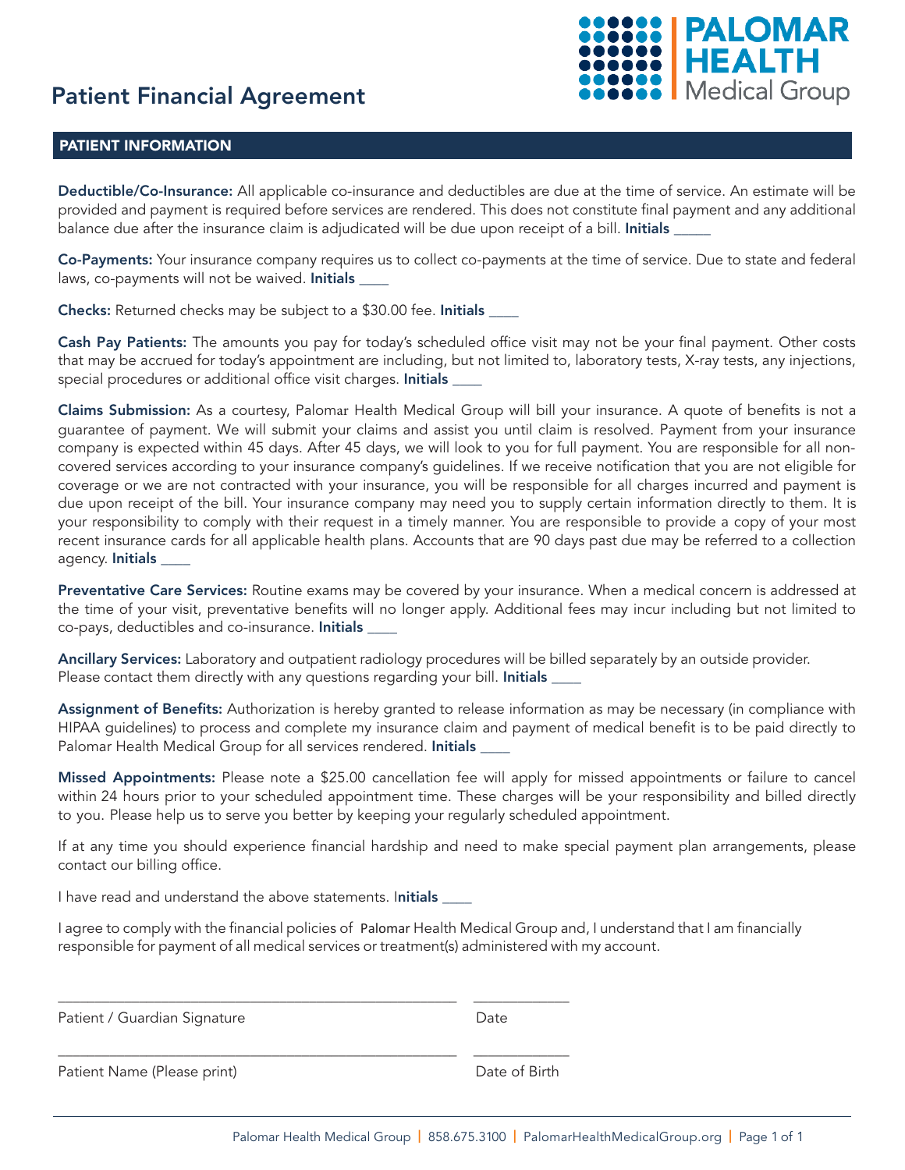# **Patient Financial Agreement**



#### **PATIENT INFORMATION**

**Deductible/Co-Insurance:** All applicable co-insurance and deductibles are due at the time of service. An estimate will be provided and payment is required before services are rendered. This does not constitute final payment and any additional balance due after the insurance claim is adjudicated will be due upon receipt of a bill. **Initials** 

**Co-Payments:** Your insurance company requires us to collect co-payments at the time of service. Due to state and federal laws, co-payments will not be waived. **Initials** 

**Checks:** Returned checks may be subject to a \$30.00 fee. **Initials \_\_\_\_**

**Cash Pay Patients:** The amounts you pay for today's scheduled office visit may not be your final payment. Other costs that may be accrued for today's appointment are including, but not limited to, laboratory tests, X-ray tests, any injections, special procedures or additional office visit charges. **Initials \_\_\_\_**

**Claims Submission:** As a courtesy, Palomar Health Medical Group will bill your insurance. A quote of benefits is not a guarantee of payment. We will submit your claims and assist you until claim is resolved. Payment from your insurance company is expected within 45 days. After 45 days, we will look to you for full payment. You are responsible for all noncovered services according to your insurance company's guidelines. If we receive notification that you are not eligible for coverage or we are not contracted with your insurance, you will be responsible for all charges incurred and payment is due upon receipt of the bill. Your insurance company may need you to supply certain information directly to them. It is your responsibility to comply with their request in a timely manner. You are responsible to provide a copy of your most recent insurance cards for all applicable health plans. Accounts that are 90 days past due may be referred to a collection agency. **Initials \_\_\_\_**

**Preventative Care Services:** Routine exams may be covered by your insurance. When a medical concern is addressed at the time of your visit, preventative benefits will no longer apply. Additional fees may incur including but not limited to co-pays, deductibles and co-insurance. **Initials \_\_\_\_**

**Ancillary Services:** Laboratory and outpatient radiology procedures will be billed separately by an outside provider. Please contact them directly with any questions regarding your bill. **Initials** 

**Assignment of Benefits:** Authorization is hereby granted to release information as may be necessary (in compliance with HIPAA guidelines) to process and complete my insurance claim and payment of medical benefit is to be paid directly to Palomar Health Medical Group for all services rendered. **Initials \_\_\_\_**

**Missed Appointments:** Please note a \$25.00 cancellation fee will apply for missed appointments or failure to cancel within 24 hours prior to your scheduled appointment time. These charges will be your responsibility and billed directly to you. Please help us to serve you better by keeping your regularly scheduled appointment.

If at any time you should experience financial hardship and need to make special payment plan arrangements, please contact our billing office.

I have read and understand the above statements. I**nitials \_\_\_\_**

\_\_\_\_\_\_\_\_\_\_\_\_\_\_\_\_\_\_\_\_\_\_\_\_\_\_\_\_\_\_\_\_\_\_\_\_\_\_\_\_\_\_\_\_\_\_\_\_\_\_\_\_\_\_ \_\_\_\_\_\_\_\_\_\_\_\_\_

\_\_\_\_\_\_\_\_\_\_\_\_\_\_\_\_\_\_\_\_\_\_\_\_\_\_\_\_\_\_\_\_\_\_\_\_\_\_\_\_\_\_\_\_\_\_\_\_\_\_\_\_\_\_ \_\_\_\_\_\_\_\_\_\_\_\_\_

I agree to comply with the financial policies of Palomar Health Medical Group and, I understand that I am financially responsible for payment of all medical services or treatment(s) administered with my account.

Patient / Guardian Signature **Date** Date

Patient Name (Please print) and the control of Birth Date of Birth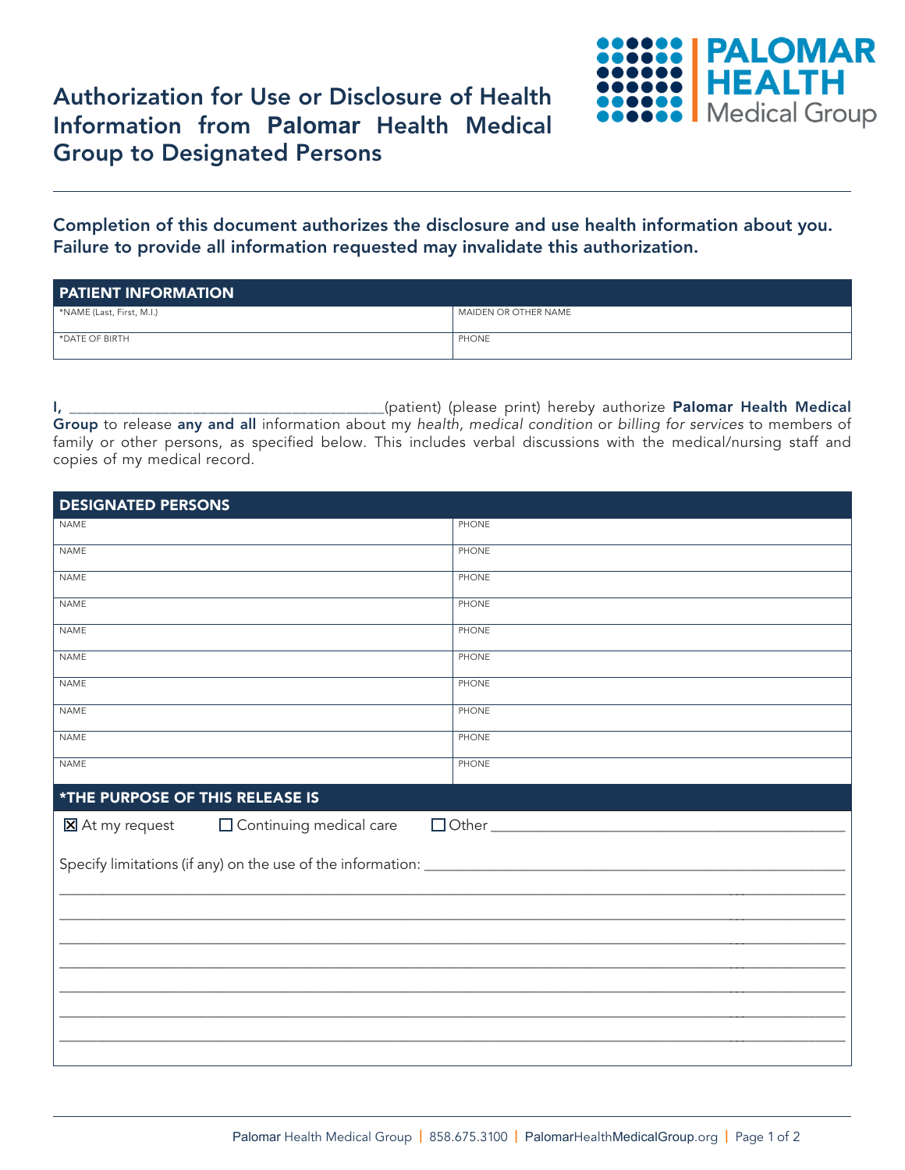

Completion of this document authorizes the disclosure and use health information about you. Failure to provide all information requested may invalidate this authorization.

| <b>PATIENT INFORMATION</b> |                      |
|----------------------------|----------------------|
| *NAME (Last, First, M.I.)  | MAIDEN OR OTHER NAME |
| *DATE OF BIRTH             | PHONE                |

I, \_\_\_\_\_\_\_\_\_\_\_\_\_\_\_\_\_\_\_\_\_\_\_\_\_\_\_\_\_\_\_\_\_\_\_\_\_\_\_\_\_(patient) (please print) hereby authorize **Palomar** Health Medical Group to release any and all information about my *health, medical condition* or *billing for services* to members of family or other persons, as specified below. This includes verbal discussions with the medical/nursing staff and copies of my medical record.

| <b>DESIGNATED PERSONS</b>                                                               |       |  |  |
|-----------------------------------------------------------------------------------------|-------|--|--|
| <b>NAME</b>                                                                             | PHONE |  |  |
| <b>NAME</b>                                                                             | PHONE |  |  |
| NAME                                                                                    | PHONE |  |  |
| <b>NAME</b>                                                                             | PHONE |  |  |
| <b>NAME</b>                                                                             | PHONE |  |  |
| <b>NAME</b>                                                                             | PHONE |  |  |
| <b>NAME</b>                                                                             | PHONE |  |  |
| <b>NAME</b>                                                                             | PHONE |  |  |
| <b>NAME</b>                                                                             | PHONE |  |  |
| NAME                                                                                    | PHONE |  |  |
| *THE PURPOSE OF THIS RELEASE IS                                                         |       |  |  |
| $\boxtimes$ At my request $\Box$ Continuing medical care                                |       |  |  |
| Specify limitations (if any) on the use of the information: ___________________________ |       |  |  |
|                                                                                         |       |  |  |
|                                                                                         |       |  |  |
|                                                                                         |       |  |  |
|                                                                                         |       |  |  |
|                                                                                         |       |  |  |
|                                                                                         |       |  |  |
|                                                                                         |       |  |  |
|                                                                                         |       |  |  |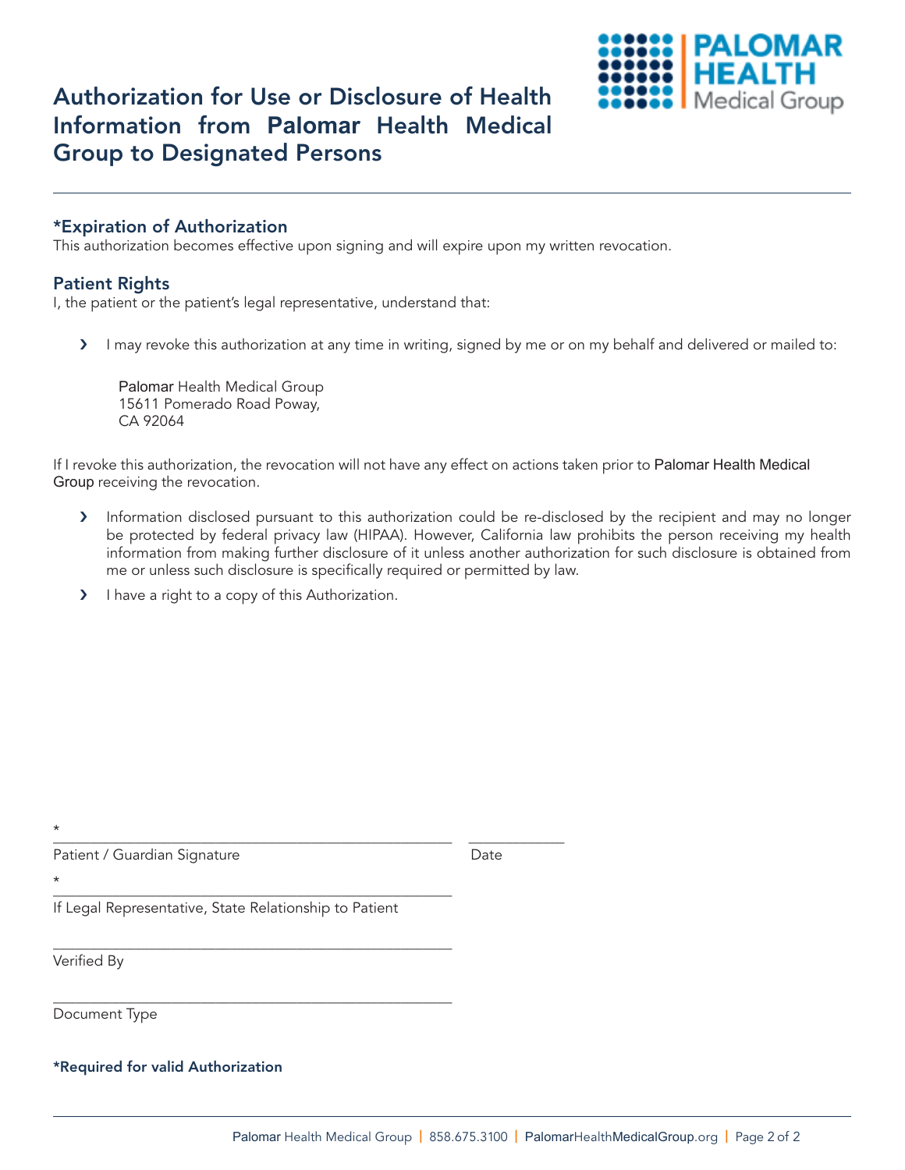#### Authorization for Use or Disclosure of Health Information from **Palomar** Health Medical Group to Designated Persons



#### \*Expiration of Authorization

This authorization becomes effective upon signing and will expire upon my written revocation.

#### Patient Rights

\*

I, the patient or the patient's legal representative, understand that:

› I may revoke this authorization at any time in writing, signed by me or on my behalf and delivered or mailed to:

Palomar Health Medical Group 15611 Pomerado Road Poway, CA 92064

If I revoke this authorization, the revocation will not have any effect on actions taken prior to Palomar Health Medical Group receiving the revocation.

- › Information disclosed pursuant to this authorization could be re-disclosed by the recipient and may no longer be protected by federal privacy law (HIPAA). However, California law prohibits the person receiving my health information from making further disclosure of it unless another authorization for such disclosure is obtained from me or unless such disclosure is specifically required or permitted by law.
- › I have a right to a copy of this Authorization.

| Patient / Guardian Signature                           | Date |
|--------------------------------------------------------|------|
| $\star$                                                |      |
| If Legal Representative, State Relationship to Patient |      |
| Verified By                                            |      |
| Document Type                                          |      |
| *Required for valid Authorization                      |      |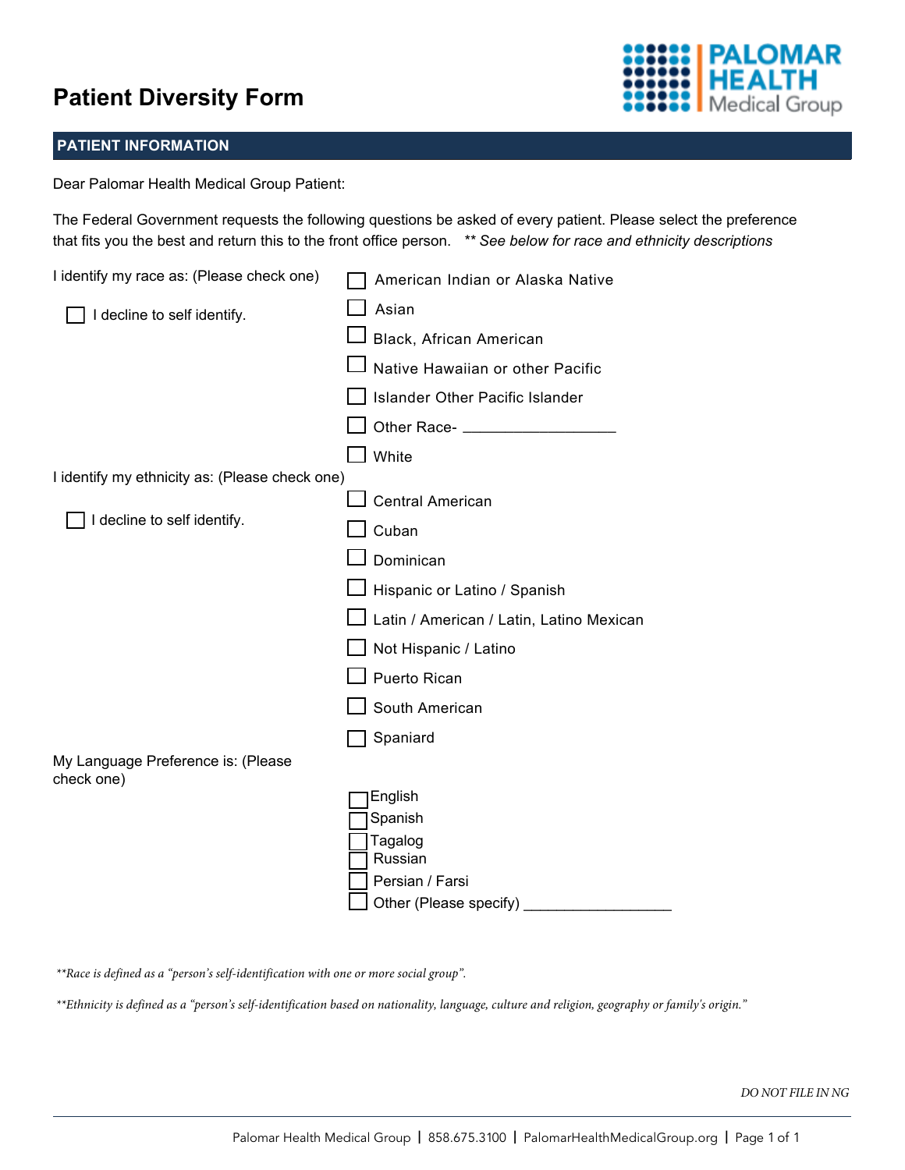#### **Patient Diversity Form**



#### **PATIENT INFORMATION**

Dear Palomar Health Medical Group Patient:

The Federal Government requests the following questions be asked of every patient. Please select the preference that fits you the best and return this to the front office person. *\*\* See below for race and ethnicity descriptions*

| I identify my race as: (Please check one)        | American Indian or Alaska Native          |
|--------------------------------------------------|-------------------------------------------|
| I decline to self identify.                      | Asian                                     |
|                                                  | Black, African American                   |
|                                                  | Native Hawaiian or other Pacific          |
|                                                  | Islander Other Pacific Islander           |
|                                                  | Other Race-<br><u>ـــــــــــــــــــ</u> |
|                                                  | White                                     |
| I identify my ethnicity as: (Please check one)   |                                           |
|                                                  | <b>Central American</b>                   |
| I decline to self identify.                      | Cuban                                     |
|                                                  | Dominican                                 |
|                                                  | Hispanic or Latino / Spanish              |
|                                                  | Latin / American / Latin, Latino Mexican  |
|                                                  | Not Hispanic / Latino                     |
|                                                  | <b>Puerto Rican</b>                       |
|                                                  | South American                            |
|                                                  | Spaniard                                  |
| My Language Preference is: (Please<br>check one) |                                           |
|                                                  | English                                   |
|                                                  | Spanish                                   |
|                                                  | Tagalog                                   |
|                                                  | Russian                                   |
|                                                  | Persian / Farsi                           |
|                                                  | Other (Please specify)                    |

*\*\*Race is defined as a "person's self-identification with one or more social group".*

*\*\*Ethnicity is defined as a "person's self-identification based on nationality, language, culture and religion, geography or family's origin."*

*DO NOT FILE IN NG*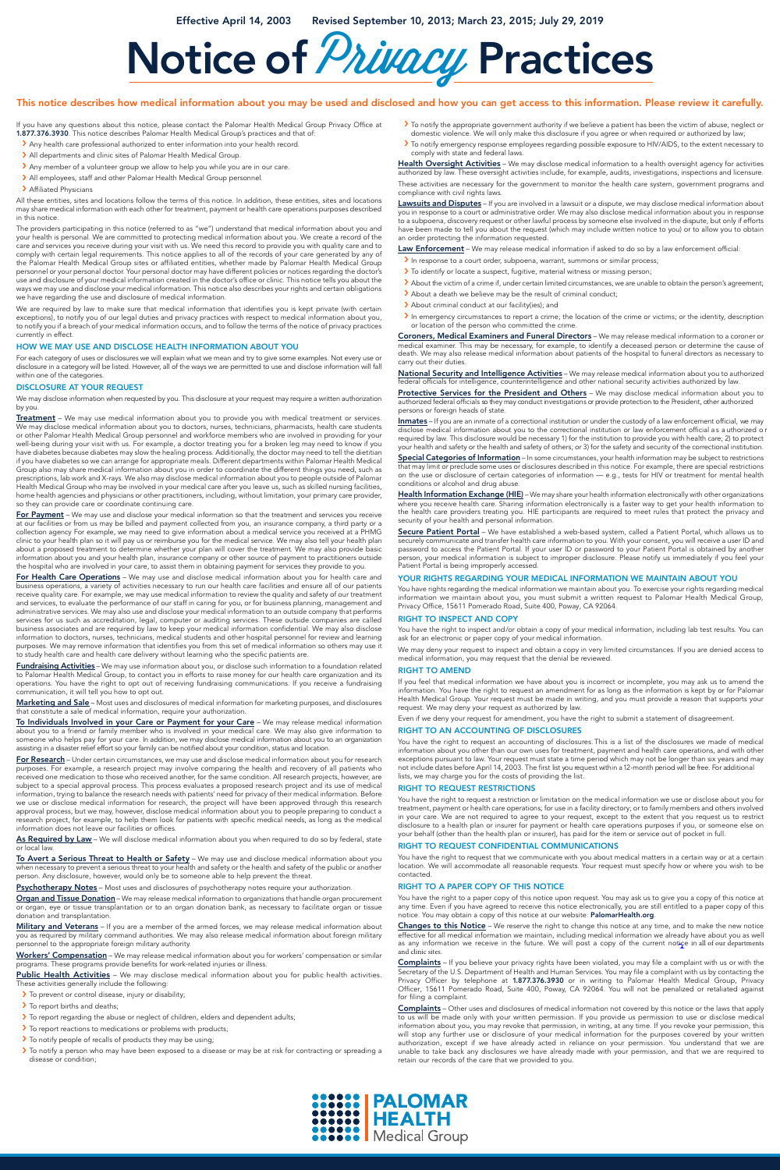Effective April 14, 2003 Revised September 10, 2013; March 23, 2015; July 29, 2019

# Notice of *Privacy* Practices

If you have any questions about this notice, please contact the Palomar Health Medical Group Privacy Office at 1.877.376.3930. This notice describes Palomar Health Medical Group's practices and that of:

- > Any health care professional authorized to enter information into your health record.
- > All departments and clinic sites of Palomar Health Medical Group.
- > Any member of a volunteer group we allow to help you while you are in our care.
- > All employees, staff and other Palomar Health Medical Group personnel.
- > Affiliated Physicians

All these entities, sites and locations follow the terms of this notice. In addition, these entities, sites and locations may share medical information with each other for treatment, payment or health care operations purposes described in this notice.

The providers participating in this notice (referred to as "we") understand that medical information about you and your health is personal. We are committed to protecting medical information about you. We create a record of the care and services you receive during your visit with us. We need this record to provide you with quality care and to comply with certain legal requirements. This notice applies to all of the records of your care generated by any of the Palomar Health Medical Group sites or affiliated entities, whether made by Palomar Health Medical Group personnel or your personal doctor. Your personal doctor may have different policies or notices regarding the doctor's use and disclosure of your medical information created in the doctor's office or clinic. This notice tells you about the ways we may use and disclose your medical information. This notice also describes your rights and certain obligations we have regarding the use and disclosure of medical information.

**Treatment** – We may use medical information about you to provide you with medical treatment or services. We may disclose medical information about you to doctors, nurses, technicians, pharmacists, health care students or other Palomar Health Medical Group personnel and workforce members who are involved in providing for your well-being during your visit with us. For example, a doctor treating you for a broken leg may need to know if you have diabetes because diabetes may slow the healing process. Additionally, the doctor may need to tell the dietitian if you have diabetes so we can arrange for appropriate meals. Different departments within Palomar Health Medical Group also may share medical information about you in order to coordinate the different things you need, such as prescriptions, lab work and X-rays. We also may disclose medical information about you to people outside of Palomar Health Medical Group who may be involved in your medical care after you leave us, such as skilled nursing facilities, home health agencies and physicians or other practitioners, including, without limitation, your primary care provider, so they can provide care or coordinate continuing care.

We are required by law to make sure that medical information that identifies you is kept private (with certain exceptions), to notify you of our legal duties and privacy practices with respect to medical information about you, to notify you if a breach of your medical information occurs, and to follow the terms of the notice of privacy practices currently in effect.

# HOW WE MAY USE AND DISCLOSE HEALTH INFORMATION ABOUT YOU

For Payment – We may use and disclose your medical information so that the treatment and services you receive at our facilities or from us may be billed and payment collected from you, an insurance company, a third party or a collection agency For example, we may need to give information about a medical service you received at a PHMG clinic to your health plan so it will pay us or reimburse you for the medical service. We may also tell your health plan about a proposed treatment to determine whether your plan will cover the treatment. We may also provide basic information about you and your health plan, insurance company or other source of payment to practitioners outside the hospital who are involved in your care, to assist them in obtaining payment for services they provide to you.

For each category of uses or disclosures we will explain what we mean and try to give some examples. Not every use or disclosure in a category will be listed. However, all of the ways we are permitted to use and disclose information will fall within one of the categories.

# DISCLOSURE AT YOUR REQUEST

We may disclose information when requested by you. This disclosure at your request may require a written authorization

by you.

For Health Care Operations - We may use and disclose medical information about you for health care and business operations, a variety of activities necessary to run our health care facilities and ensure all of our patients receive quality care. For example, we may use medical information to review the quality and safety of our treatment and services, to evaluate the performance of our staff in caring for you, or for business planning, management and administrative services. We may also use and disclose your medical information to an outside company that performs services for us such as accreditation, legal, computer or auditing services. These outside companies are called business associates and are required by law to keep your medical information confidential. We may also disclose information to doctors, nurses, technicians, medical students and other hospital personnel for review and learning purposes. We may remove information that identifies you from this set of medical information so others may use it to study health care and health care delivery without learning who the specific patients are.

**Fundraising Activities** – We may use information about you, or disclose such information to a foundation related to Palomar Health Medical Group, to contact you in efforts to raise money for our health care organization and its operations. You have the right to opt out of receiving fundraising communications. If you receive a fundraising communication, it will tell you how to opt out.

Marketing and Sale - Most uses and disclosures of medical information for marketing purposes, and disclosures that constitute a sale of medical information, require your authorization.

To Individuals Involved in your Care or Payment for your Care - We may release medical information about you to a friend or family member who is involved in your medical care. We may also give information to someone who helps pay for your care. In addition, we may disclose medical information about you to an organization assisting in a disaster relief effort so your family can be notified about your condition, status and location.

For Research - Under certain circumstances, we may use and disclose medical information about you for research purposes. For example, a research project may involve comparing the health and recovery of all patients who received one medication to those who received another, for the same condition. All research projects, however, are subject to a special approval process. This process evaluates a proposed research project and its use of medical information, trying to balance the research needs with patients' need for privacy of their medical information. Before we use or disclose medical information for research, the project will have been approved through this research approval process, but we may, however, disclose medical information about you to people preparing to conduct a research project, for example, to help them look for patients with specific medical needs, as long as the medical information does not leave our facilities or offices.

As Required by Law - We will disclose medical information about you when required to do so by federal, state or local law.

To Avert a Serious Threat to Health or Safety - We may use and disclose medical information about you when necessary to prevent a serious threat to your health and safety or the health and safety of the public or another person. Any disclosure, however, would only be to someone able to help prevent the threat.

Psychotherapy Notes - Most uses and disclosures of psychotherapy notes require your authorization.

Organ and Tissue Donation - We may release medical information to organizations that handle organ procurement or organ, eye or tissue transplantation or to an organ donation bank, as necessary to facilitate organ or tissue donation and transplantation.

Military and Veterans - If you are a member of the armed forces, we may release medical information about you as required by military command authorities. We may also release medical information about foreign military personnel to the appropriate foreign military authority.

Workers' Compensation - We may release medical information about you for workers' compensation or similar programs. These programs provide benefits for work-related injuries or illness.

Public Health Activities - We may disclose medical information about you for public health activities. These activities generally include the following:

- > To prevent or control disease, injury or disability;
- > To report births and deaths;
- > To report regarding the abuse or neglect of children, elders and dependent adults;
- > To report reactions to medications or problems with products;
- › To notify people of recalls of products they may be using;
- › To notify a person who may have been exposed to a disease or may be at risk for contracting or spreading a disease or condition;

Health Oversight Activities - We may disclose medical information to a health oversight agency for activities authorized by law. These oversight activities include, for example, audits, investigations, inspections and licensure.

Lawsuits and Disputes - If you are involved in a lawsuit or a dispute, we may disclose medical information about you in response to a court or administrative order. We may also disclose medical information about you in response to a subpoena, discovery request or other lawful process by someone else involved in the dispute, but only if efforts have been made to tell you about the request (which may include written notice to you) or to allow you to obtain an order protecting the information requested.

Law Enforcement - We may release medical information if asked to do so by a law enforcement official:

- In response to a court order, subpoena, warrant, summons or similar process;
- > To identify or locate a suspect, fugitive, material witness or missing person;
- › About the victim of a crime if, under certain limited circumstances, we are unable to obtain the person's agreement;
- › About a death we believe may be the result of criminal conduct;
- > About criminal conduct at our facility(ies); and
- › In emergency circumstances to report a crime; the location of the crime or victims; or the identity, description or location of the person who committed the crime.

Coroners, Medical Examiners and Funeral Directors - We may release medical information to a coroner or medical examiner. This may be necessary, for example, to identify a deceased person or determine the cause of death. We may also release medical information about patients of the hospital to funeral directors as necessary to carry out their duties.

National Security and Intelligence Activities - We may release medical information about you to authorized federal officials for intelligence, counterintelligence and other national security activities authorized by law.

Protective Services for the President and Others - We may disclose medical information about you to authorized federal officials so they may conduct investigations or provide protection to the President, other authorized persons or foreign heads of state.

Inmates – If you are an inmate of a correctional institution or under the custody of a law enforcement official, we may disclose medical information about you to the correctional institution or law enforcement official a s a uthorized o r required by law. This disclosure would be necessary 1) for the institution to provide you with health care; 2) to protect your health and safety or the health and safety of others; or 3) for the safety and security of the correctional institution.

Special Categories of Information – In some circumstances, your health information may be subject to restrictions that may limit or preclude some uses or disclosures described in this notice. For example, there are special restrictions on the use or disclosure of certain categories of information — e.g., tests for HIV or treatment for mental health conditions or alcohol and drug abuse.

Health Information Exchange (HIE) - We may share your health information electronically with other organizations where you receive health care. Sharing information electronically is a faster way to get your health information to the health care providers treating you. HIE participants are required to meet rules that protect the privacy and security of your health and personal information.

Secure Patient Portal – We have established a web-based system, called a Patient Portal, which allows us to securely communicate and transfer health care information to you. With your consent, you will receive a user ID and password to access the Patient Portal. If your user ID or password to your Patient Portal is obtained by another person, your medical information is subject to improper disclosure. Please notify us immediately if you feel your Patient Portal is being improperly accessed.

You have the right to a paper copy of this notice upon request. You may ask us to give you a copy of this notice at any time. Even if you have agreed to receive this notice electronically, you are still entitled to a paper copy of this notice. You may obtain a copy of this notice at our website: PalomarHealth.org.

**Changes to this Notice** – We reserve the right to change this notice at any time, and to make the new notice effective for all medical information we maintain, including medical information we already have about you as well as any information we receive in the future. We will post a copy of the current notice in all of our departments and clinic sites.

Complaints - If you believe your privacy rights have been violated, you may file a complaint with us or with the Secretary of the U.S. Department of Health and Human Services. You may file a complaint with us by contacting the Privacy Officer by telephone at 1.877.376.3930 or in writing to Palomar Health Medical Group, Privacy Officer, 15611 Pomerado Road, Suite 400, Poway, CA 92064. You will not be penalized or retaliated against for filing a complaint.

Complaints – Other uses and disclosures of medical information not covered by this notice or the laws that apply to us will be made only with your written permission. If you provide us permission to use or disclose medical information about you, you may revoke that permission, in writing, at any time. If you revoke your permission, this will stop any further use or disclosure of your medical information for the purposes covered by your written authorization, except if we have already acted in reliance on your permission. You understand that we are unable to take back any disclosures we have already made with your permission, and that we are required to retain our records of the care that we provided to you.



- › To notify the appropriate government authority if we believe a patient has been the victim of abuse, neglect or domestic violence. We will only make this disclosure if you agree or when required or authorized by law;
- › To notify emergency response employees regarding possible exposure to HIV/AIDS, to the extent necessary to comply with state and federal laws.

These activities are necessary for the government to monitor the health care system, government programs and compliance with civil rights laws.

## YOUR RIGHTS REGARDING YOUR MEDICAL INFORMATION WE MAINTAIN ABOUT YOU

You have rights regarding the medical information we maintain about you. To exercise your rights regarding medical information we maintain about you, you must submit a written request to Palomar Health Medical Group, Privacy Office, 15611 Pomerado Road, Suite 400, Poway, CA 92064.

## RIGHT TO INSPECT AND COPY

You have the right to inspect and/or obtain a copy of your medical information, including lab test results. You can ask for an electronic or paper copy of your medical information.

We may deny your request to inspect and obtain a copy in very limited circumstances. If you are denied access to medical information, you may request that the denial be reviewed.

## RIGHT TO AMEND

If you feel that medical information we have about you is incorrect or incomplete, you may ask us to amend the information. You have the right to request an amendment for as long as the information is kept by or for Palomar Health Medical Group. Your request must be made in writing, and you must provide a reason that supports your request. We may deny your request as authorized by law.

Even if we deny your request for amendment, you have the right to submit a statement of disagreement.

#### RIGHT TO AN ACCOUNTING OF DISCLOSURES

You have the right to request an accounting of disclosures. This is a list of the disclosures we made of medical information about you other than our own uses for treatment, payment and health care operations, and with other exceptions pursuant to law. Your request must state a time period which may not be longer than six years and may not include dates before April 14, 2003. The first list you request within a12-month period will be free. For additional lists, we may charge you for the costs of providing the list.

## RIGHT TO REQUEST RESTRICTIONS

You have the right to request a restriction or limitation on the medical information we use or disclose about you for treatment, payment or health care operations; for use in a facility directory; or to family members and others involved in your care. We are not required to agree to your request, except to the extent that you request us to restrict disclosure to a health plan or insurer for payment or health care operations purposes if you, or someone else on your behalf (other than the health plan or insurer), has paid for the item or service out of pocket in full.

# RIGHT TO REQUEST CONFIDENTIAL COMMUNICATIONS

You have the right to request that we communicate with you about medical matters in a certain way or at a certain location. We will accommodate all reasonable requests. Your request must specify how or where you wish to be contacted.

# RIGHT TO A PAPER COPY OF THIS NOTICE

# This notice describes how medical information about you may be used and disclosed and how you can get access to this information. Please review it carefully.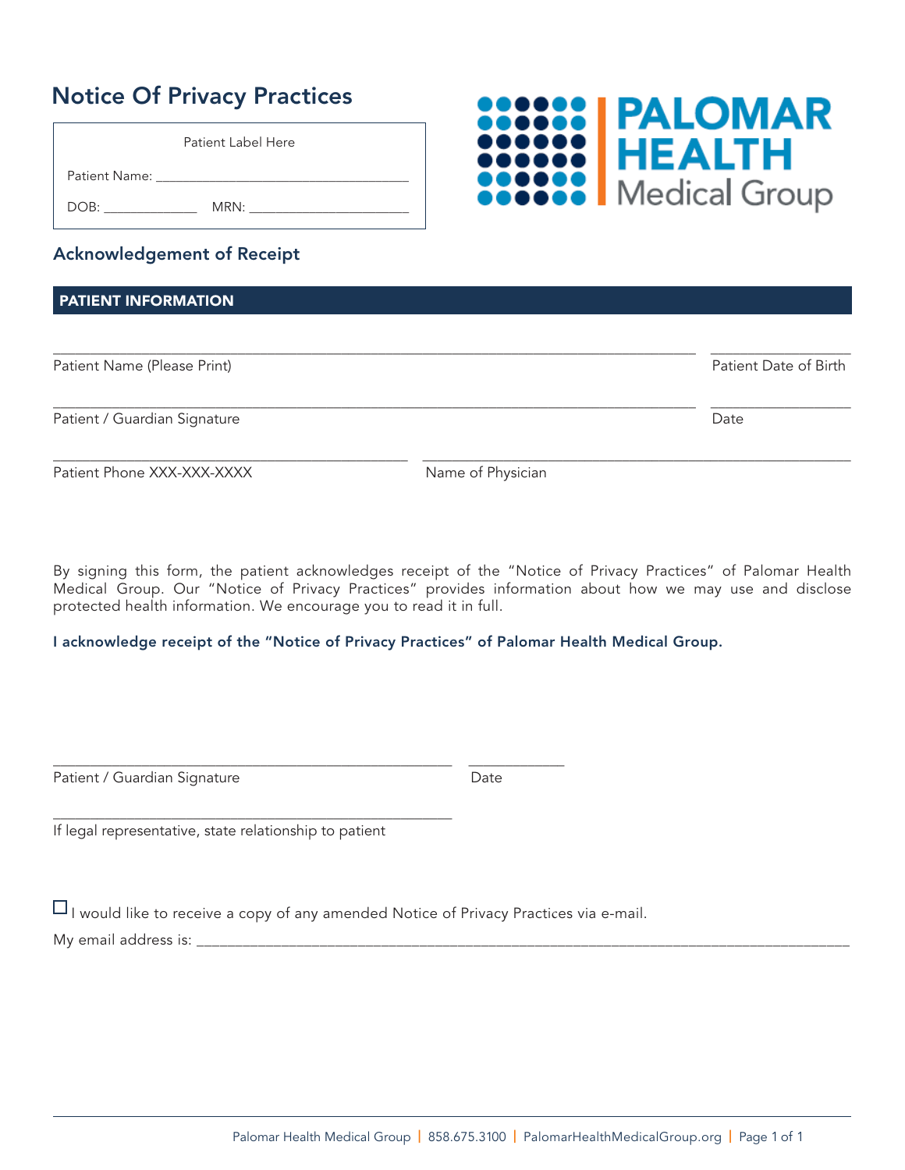# **Notice Of Privacy Practices**

|               | Patient Label Here |
|---------------|--------------------|
| Patient Name: |                    |
| DOB:          | MRN:               |

#### **Acknowledgement of Receipt**

#### **PATIENT INFORMATION**



**PALOMAR** 

**Medical Group** 

**HEALTH** 

By signing this form, the patient acknowledges receipt of the "Notice of Privacy Practices" of Palomar Health Medical Group. Our "Notice of Privacy Practices" provides information about how we may use and disclose protected health information. We encourage you to read it in full.

**I acknowledge receipt of the "Notice of Privacy Practices" of** Palomar **Health Medical Group.**

| Patient / Guardian Signature | Date |
|------------------------------|------|
|------------------------------|------|

If legal representative, state relationship to patient

\_\_\_\_\_\_\_\_\_\_\_\_\_\_\_\_\_\_\_\_\_\_\_\_\_\_\_\_\_\_\_\_\_\_\_\_\_\_\_\_\_\_\_\_\_\_\_\_\_\_\_\_\_\_

 $\Box$  I would like to receive a copy of any amended Notice of Privacy Practices via e-mail. My email address is: \_\_\_\_\_\_\_\_\_\_\_\_\_\_\_\_\_\_\_\_\_\_\_\_\_\_\_\_\_\_\_\_\_\_\_\_\_\_\_\_\_\_\_\_\_\_\_\_\_\_\_\_\_\_\_\_\_\_\_\_\_\_\_\_\_\_\_\_\_\_\_\_\_\_\_\_\_\_\_\_\_\_\_\_\_

\_\_\_\_\_\_\_\_\_\_\_\_\_\_\_\_\_\_\_\_\_\_\_\_\_\_\_\_\_\_\_\_\_\_\_\_\_\_\_\_\_\_\_\_\_\_\_\_\_\_\_\_\_\_ \_\_\_\_\_\_\_\_\_\_\_\_\_